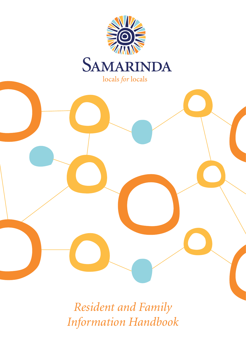

*Resident and Family Information Handbook*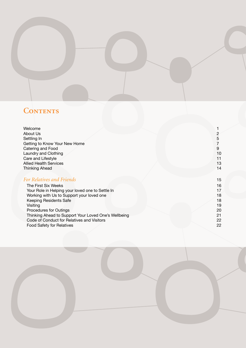## CONTENTS

| Welcome                                              |    |  |
|------------------------------------------------------|----|--|
| About Us                                             | 2  |  |
| Settling In                                          | 5  |  |
| Getting to Know Your New Home                        |    |  |
| Catering and Food                                    | 9  |  |
| Laundry and Clothing                                 | 10 |  |
| Care and Lifestyle                                   | 11 |  |
| <b>Allied Health Services</b>                        | 13 |  |
| Thinking Ahead                                       | 14 |  |
|                                                      |    |  |
| For Relatives and Friends                            | 15 |  |
| The First Six Weeks                                  | 16 |  |
| Your Role in Helping your loved one to Settle In     | 17 |  |
| Working with Us to Support your loved one            | 18 |  |
| Keeping Residents Safe                               | 18 |  |
| Visiting                                             | 19 |  |
| Procedures for Outings                               | 20 |  |
| Thinking Ahead to Support Your Loved One's Wellbeing |    |  |
| Code of Conduct for Relatives and Visitors           |    |  |
| <b>Food Safety for Relatives</b>                     | 22 |  |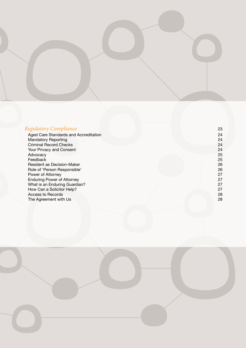### *Regulatory Compliance*23

| Aged Care Standards and Accreditation |  | 24 |
|---------------------------------------|--|----|
| <b>Mandatory Reporting</b>            |  | 24 |
| <b>Criminal Record Checks</b>         |  | 24 |
| Your Privacy and Consent              |  | 24 |
| Advocacy                              |  | 25 |
| Feedback                              |  | 25 |
| Resident as Decision-Maker            |  | 26 |
| Role of 'Person Responsible'          |  | 26 |
| Power of Attorney                     |  | 27 |
| <b>Enduring Power of Attorney</b>     |  | 27 |
| What is an Enduring Guardian?         |  | 27 |
| How Can a Solicitor Help?             |  | 27 |
| Access to Records                     |  | 28 |
| The Agreement with Us                 |  | 28 |
|                                       |  |    |
|                                       |  |    |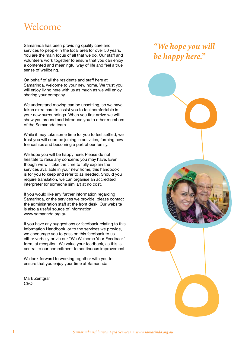## Welcome

Samarinda has been providing quality care and services to people in the local area for over 50 years. You are the main focus of all that we do. Our staff and volunteers work together to ensure that you can enjoy a contented and meaningful way of life and feel a true sense of wellbeing.

On behalf of all the residents and staff here at Samarinda, welcome to your new home. We trust you will enjoy living here with us as much as we will enjoy sharing your company.

We understand moving can be unsettling, so we have taken extra care to assist you to feel comfortable in your new surroundings. When you first arrive we will show you around and introduce you to other members of the Samarinda team.

While it may take some time for you to feel settled, we trust you will soon be joining in activities, forming new friendships and becoming a part of our family.

We hope you will be happy here. Please do not hesitate to raise any concerns you may have. Even though we will take the time to fully explain the services available in your new home, this handbook is for you to keep and refer to as needed. Should you require translation, we can organise an accredited interpreter (or someone similar) at no cost.

If you would like any further information regarding Samarinda, or the services we provide, please contact the administration staff at the front desk. Our website is also a useful source of information www.samarinda.org.au.

If you have any suggestions or feedback relating to this Information Handbook, or to the services we provide, we encourage you to pass on this feedback to us either verbally or via our "We Welcome Your Feedback" form, at reception. We value your feedback, as this is central to our commitment to continuous improvement.

We look forward to working together with you to ensure that you enjoy your time at Samarinda.

Mark Zentgraf CEO

## *"We hope you will be happy here."*

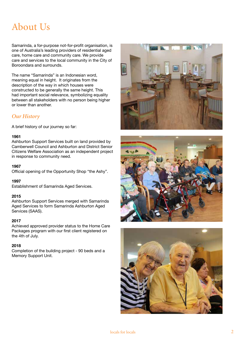## About Us

Samarinda, a for-purpose not-for-profit organisation, is one of Australia's leading providers of residential aged care, home care and community care. We provide care and services to the local community in the City of Boroondara and surrounds.

The name "Samarinda" is an Indonesian word, meaning equal in height. It originates from the description of the way in which houses were constructed to be generally the same height. This had important social relevance, symbolizing equality between all stakeholders with no person being higher or lower than another.

### *Our History*

A brief history of our journey so far:

#### **1961**

Ashburton Support Services built on land provided by Camberwell Council and Ashburton and District Senior Citizens Welfare Association as an independent project in response to community need.

#### **1967**

Official opening of the Opportunity Shop "the Ashy".

#### **1997**

Establishment of Samarinda Aged Services.

#### **2015**

Ashburton Support Services merged with Samarinda Aged Services to form Samarinda Ashburton Aged Services (SAAS).

#### **2017**

Achieved approved provider status to the Home Care Packages program with our first client registered on the 4th of July.

#### **2018**

Completion of the building project - 90 beds and a Memory Support Unit.





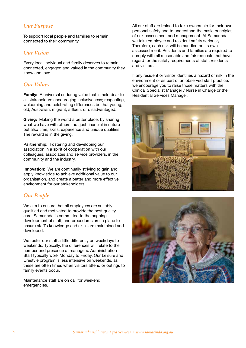### *Our Purpose*

To support local people and families to remain connected to their community.

#### *Our Vision*

Every local individual and family deserves to remain connected, engaged and valued in the community they know and love.

### *Our Values*

**Family:** A universal enduring value that is held dear to all stakeholders encouraging inclusiveness; respecting, welcoming and celebrating differences be that young, old, Australian, migrant, affluent or disadvantaged.

**Giving:** Making the world a better place, by sharing what we have with others, not just financial in nature but also time, skills, experience and unique qualities. The reward is in the giving.

**Partnership:** Fostering and developing our association in a spirit of cooperation with our colleagues, associates and service providers, in the community and the industry.

**Innovation:** We are continually striving to gain and apply knowledge to achieve additional value to our organisation, and create a better and more effective environment for our stakeholders.

### *Our People*

We aim to ensure that all employees are suitably qualified and motivated to provide the best quality care. Samarinda is committed to the ongoing development of staff, and procedures are in place to ensure staff's knowledge and skills are maintained and developed.

We roster our staff a little differently on weekdays to weekends. Typically, the differences will relate to the number and presence of managers. Administration Staff typically work Monday to Friday. Our Leisure and Lifestyle program is less intensive on weekends, as these are often times when visitors attend or outings to family events occur.

Maintenance staff are on call for weekend emergencies.

All our staff are trained to take ownership for their own personal safety and to understand the basic principles of risk assessment and management. At Samarinda, we take employee and resident safety seriously. Therefore, each risk will be handled on its own assessed merit. Residents and families are required to comply with all reasonable and fair requests that have regard for the safety requirements of staff, residents and visitors.

If any resident or visitor identifies a hazard or risk in the environment or as part of an observed staff practice, we encourage you to raise those matters with the Clinical Specialist Manager / Nurse in Charge or the Residential Services Manager.



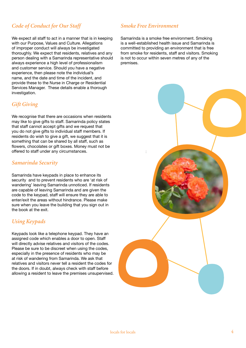## *Code of Conduct for Our Staff*

We expect all staff to act in a manner that is in keeping with our Purpose, Values and Culture. Allegations of improper conduct will always be investigated thoroughly. We expect that residents, relatives and any person dealing with a Samarinda representative should always experience a high level of professionalism and customer service. Should you have a negative experience, then please note the individual's name, and the date and time of the incident, and provide these to the Nurse in Charge or Residential Services Manager. These details enable a thorough investigation.

### *Gift Giving*

We recognise that there are occasions when residents may like to give gifts to staff. Samarinda policy states that staff cannot accept gifts and we request that you do not give gifts to individual staff members. If residents do wish to give a gift, we suggest that it is something that can be shared by all staff, such as flowers, chocolates or gift boxes. Money must not be offered to staff under any circumstances.

### *Samarinda Security*

Samarinda have keypads in place to enhance its security and to prevent residents who are 'at risk of wandering' leaving Samarinda unnoticed. If residents are capable of leaving Samarinda and are given the code to the keypad, staff will ensure they are able to enter/exit the areas without hindrance. Please make sure when you leave the building that you sign out in the book at the exit.

### *Using Keypads*

Keypads look like a telephone keypad. They have an assigned code which enables a door to open. Staff will directly advise relatives and visitors of the codes. Please be sure to be discreet when using the codes, especially in the presence of residents who may be at risk of wandering from Samarinda. We ask that relatives and visitors never tell a resident the codes for the doors. If in doubt, always check with staff before allowing a resident to leave the premises unsupervised.

### *Smoke Free Environment*

Samarinda is a smoke free environment. Smoking is a well-established health issue and Samarinda is committed to providing an environment that is free from smoke for residents, staff and visitors. Smoking is not to occur within seven metres of any of the premises.

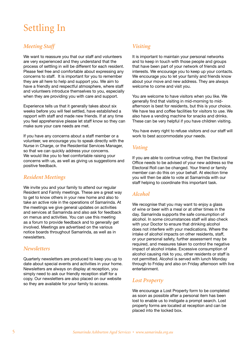# Settling In

## *Meeting Staff*

We want to reassure you that our staff and volunteers are very experienced and they understand that the process of settling in will be different for each resident. Please feel free and comfortable about expressing any concerns to staff. It is important for you to remember they are all here to help and support you. We aim to have a friendly and respectful atmosphere, where staff and volunteers introduce themselves to you, especially when they are providing you with care and support.

Experience tells us that it generally takes about six weeks before you will feel settled, have established a rapport with staff and made new friends. If at any time you feel apprehensive please let staff know so they can make sure your care needs are met.

If you have any concerns about a staff member or a volunteer, we encourage you to speak directly with the Nurse in Charge, or the Residential Services Manager, so that we can quickly address your concerns. We would like you to feel comfortable raising your concerns with us, as well as giving us suggestions and positive feedback.

### *Resident Meetings*

We invite you and your family to attend our regular Resident and Family meetings. These are a great way to get to know others in your new home and also to take an active role in the operations of Samarinda. At the meetings we give general updates on activities and services at Samarinda and also ask for feedback on menus and activities. You can use this meeting as a forum to provide feedback and to generally get involved. Meetings are advertised on the various notice boards throughout Samarinda, as well as in newsletters.

### *Newsletters*

Quarterly newsletters are produced to keep you up to date about special events and activities in your home. Newsletters are always on display at reception, you simply need to ask our friendly reception staff for a copy. Our newsletters are also placed on our website so they are available for your family to access.

## *Visiting*

It is important to maintain your personal networks and to keep in touch with those people and groups that have been part of your network of friends and interests. We encourage you to keep up your contacts. We encourage you to let your family and friends know about your move and new address. They are always welcome to come and visit you.

You are welcome to have visitors when you like. We generally find that visiting in mid-morning to midafternoon is best for residents, but this is your choice. We have tea and coffee facilities for visitors to use. We also have a vending machine for snacks and drinks. These can be very helpful if you have children visiting.

You have every right to refuse visitors and our staff will work to best accommodate your needs.

### *Voting*

If you are able to continue voting, then the Electoral Office needs to be advised of your new address so the Electoral Roll can be changed. Your friend or family member can do this on your behalf. At election time you will then be able to vote at Samarinda with our staff helping to coordinate this important task.

### *Alcohol*

We recognise that you may want to enjoy a glass of wine or beer with a meal or at other times in the day. Samarinda supports the safe consumption of alcohol. In some circumstances staff will also check with your Doctor to ensure that drinking alcohol does not interfere with your medications. Where the intake of alcohol impacts on other residents, staff, or your personal safety, further assessment may be required, and measures taken to control the negative impact of alcohol intake. Excessive consumption of alcohol causing risk to you, other residents or staff is not permitted. Alcohol is served with lunch Monday through to Friday and also on Friday afternoon with live entertainment.

### *Lost Property*

We encourage a Lost Property form to be completed as soon as possible after a personal item has been lost to enable us to instigate a prompt search. Lost property forms are located at reception and can be placed into the locked box.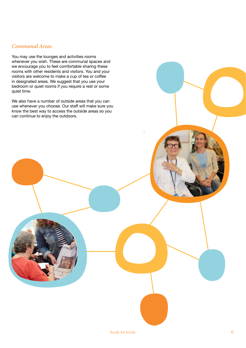### *Communal Areas*

You may use the lounges and activities rooms whenever you wish. These are communal spaces and we encourage you to feel comfortable sharing these rooms with other residents and visitors. You and your visitors are welcome to make a cup of tea or coffee in designated areas. We suggest that you use your bedroom or quiet rooms if you require a rest or some quiet time.

We also have a number of outside areas that you can use whenever you choose. Our staff will make sure you know the best way to access the outside areas so you can continue to enjoy the outdoors.

: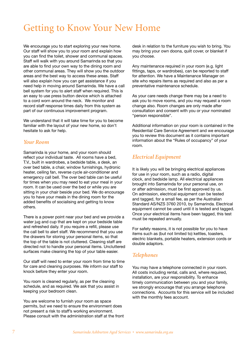# Getting to Know Your New Home

We encourage you to start exploring your new home. Our staff will show you to your room and explain how you can find the toilet, shower and communal spaces. Staff will walk with you around Samarinda so that you are able to find your own way to the dining room and other communal areas. They will show you the outdoor areas and the best way to access these areas. Staff will also explain how you can get assistance if you need help in moving around Samarinda. We have a call bell system for you to alert staff when required. This is an easy to use press button device which is attached to a cord worn around the neck. We monitor and record staff response times daily from this system as part of our continuous improvement program.

We understand that it will take time for you to become familiar with the layout of your new home, so don't hesitate to ask for help.

### *Your Room*

Samarinda is your home, and your room should reflect your individual taste. All rooms have a bed, T.V., built in wardrobes, a bedside table, a desk, an over bed table, a chair, window furnishings, hydronic heater, ceiling fan, reverse cycle air-conditioner and emergency call bell. The over bed table can be useful for times when you may need to eat your meal in your room. It can be used over the bed or while you are sitting in your chair beside your bed. We do encourage you to have your meals in the dining room for the added benefits of socialising and getting to know others.

There is a power point near your bed and we provide a water jug and cup that are kept on your bedside table and refreshed daily. If you require a refill, please use the call bell to alert staff. We recommend that you use the drawers for storing your personal items, so that the top of the table is not cluttered. Cleaning staff are directed not to handle your personal items. Uncluttered surfaces make cleaning the top of your table easier.

Our staff will need to enter your room from time to time for care and cleaning purposes. We inform our staff to knock before they enter your room.

You room is cleaned regularly, as per the cleaning schedule, and as required. We ask that you assist in keeping your bedroom clean.

You are welcome to furnish your room as space permits, but we need to ensure the environment does not present a risk to staff's working environment. Please consult with the administration staff at the front desk in relation to the furniture you wish to bring. You may bring your own doona, quilt cover, or blanket if you choose.

Any maintenance required in your room (e.g. light fittings, taps, or wardrobes), can be reported to staff for attention. We have a Maintenance Manager on site who repairs items as required and also as per a preventative maintenance schedule.

As your care needs change there may be a need to ask you to move rooms, and you may request a room change also. Room changes are only made after consultation and consent with you or your nominated "person responsible".

Additional information on your room is contained in the Residential Care Service Agreement and we encourage you to review this document as it contains important information about the "Rules of occupancy" of your room.

## *Electrical Equipment*

It is likely you will be bringing electrical appliances for use in your room, such as a radio, digital clock, and bedside lamp. All electrical appliances brought into Samarinda for your personal use, on or after admission, must be first approved by us. On admission, electrical equipment can be tested and tagged, for a small fee, as per the Australian Standard AS/NZS 3760 2010, by Samarinda. Electrical equipment cannot be used until it is tested and tagged. Once your electrical items have been tagged, this test must be repeated annually.

For safety reasons, it is not possible for you to have items such as (but not limited to) kettles, toasters, electric blankets, portable heaters, extension cords or double adaptors.

### *Telephones*

You may have a telephone connected in your room. All costs including rental, calls and, where required, installation, are your responsibility. To enhance timely communication between you and your family, we strongly encourage that you arrange telephone connections. Accounts for this service will be included with the monthly fees account.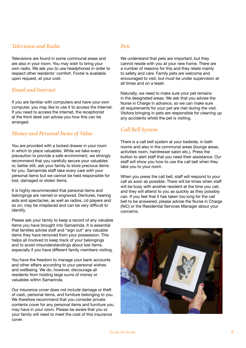### *Television and Radio*

Televisions are found in some communal areas and are also in your room. You may wish to bring your own radio. We ask you to use headphones in order to respect other residents' comfort. Foxtel is available upon request, at your cost.

### *Email and Internet*

If you are familiar with computers and have your own computer, you may like to use it to access the Internet. If you need to access the internet, the receptionist at the front desk can advise you how this can be arranged.

### *Money and Personal Items of Value*

You are provided with a locked drawer in your room in which to place valuables. While we take every precaution to provide a safe environment, we strongly recommend that you carefully secure your valuables or, better still, ask your family to store precious items for you. Samarinda staff take every care with your personal items but we cannot be held responsible for lost, damaged or stolen items.

It is highly recommended that personal items and belongings are named or engraved. Dentures, hearing aids and spectacles, as well as radios, cd players and so on, may be misplaced and can be very difficult to identify.

Please ask your family to keep a record of any valuable items you have brought into Samarinda. It is essential that families advise staff and "sign out" any valuable items they have removed from your possession. This helps all involved to keep track of your belongings and to avoid misunderstandings about lost items, especially if you have different family members visiting.

You have the freedom to manage your bank accounts and other affairs according to your personal wishes and wellbeing. We do, however, discourage all residents from holding large sums of money or valuables within Samarinda.

Our insurance cover does not include damage or theft of cash, personal items, and furniture belonging to you. We therefore recommend that you consider private contents cover for any personal items and furniture you may have in your room. Please be aware that you or your family will need to meet the cost of this insurance cover.

### *Pets*

We understand that pets are important, but they cannot reside with you at your new home. There are a number of reasons for this and they relate mainly to safety and care. Family pets are welcome and encouraged to visit, but must be under supervision at all times and on a leash.

Naturally, we need to make sure your pet remains in the designated areas. We ask that you advise the Nurse in Charge in advance, so we can make sure all requirements for your pet are met during the visit. Visitors bringing in pets are responsible for cleaning up any accidents whilst the pet is visiting.

### *Call Bell System*

There is a call bell system at your bedside, in bath rooms and also in the communal areas (lounge areas, activities room, hairdresser salon etc.). Press the button to alert staff that you need their assistance. Our staff will show you how to use the call bell when they take you to your room.

When you press the call bell, staff will respond to your call as soon as possible. There will be times when staff will be busy with another resident at the time you call, and they will attend to you as quickly as they possibly can. If you feel that it has taken too long for the call bell to be answered, please advise the Nurse in Charge (NiC) or the Residential Services Manager about your concerns.

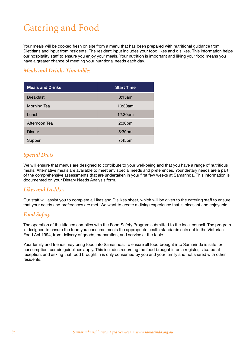# Catering and Food

Your meals will be cooked fresh on site from a menu that has been prepared with nutritional guidance from Dietitians and input from residents. The resident input includes your food likes and dislikes. This information helps our hospitality staff to ensure you enjoy your meals. Your nutrition is important and liking your food means you have a greater chance of meeting your nutritional needs each day.

### *Meals and Drinks Timetable:*

| <b>Meals and Drinks</b> | <b>Start Time</b>  |
|-------------------------|--------------------|
| <b>Breakfast</b>        | 8:15am             |
| Morning Tea             | 10:30am            |
| Lunch                   | 12:30pm            |
| Afternoon Tea           | 2:30 <sub>pm</sub> |
| <b>Dinner</b>           | 5:30pm             |
| Supper                  | $7:45$ pm          |

### *Special Diets*

We will ensure that menus are designed to contribute to your well-being and that you have a range of nutritious meals. Alternative meals are available to meet any special needs and preferences. Your dietary needs are a part of the comprehensive assessments that are undertaken in your first few weeks at Samarinda. This information is documented on your Dietary Needs Analysis form.

### *Likes and Dislikes*

Our staff will assist you to complete a Likes and Dislikes sheet, which will be given to the catering staff to ensure that your needs and preferences are met. We want to create a dining experience that is pleasant and enjoyable.

### *Food Safety*

The operation of the kitchen complies with the Food Safety Program submitted to the local council. The program is designed to ensure the food you consume meets the appropriate health standards sets out in the Victorian Food Act 1994, from delivery of goods, preparation, and service at the table.

Your family and friends may bring food into Samarinda. To ensure all food brought into Samarinda is safe for consumption, certain guidelines apply. This includes recording the food brought in on a register, situated at reception, and asking that food brought in is only consumed by you and your family and not shared with other residents.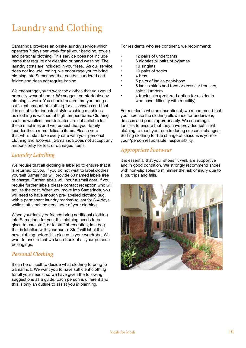# Laundry and Clothing

Samarinda provides an onsite laundry service which operates 7 days per week for all your bedding, towels and personal clothing. This service does not include items that require dry cleaning or hand washing. The laundry costs are included in your fees. As our service does not include ironing, we encourage you to bring clothing into Samarinda that can be laundered and folded and does not require ironing.

We encourage you to wear the clothes that you would normally wear at home. We suggest comfortable day clothing is worn. You should ensure that you bring a sufficient amount of clothing for all seasons and that it is suitable for industrial style washing machines, as clothing is washed at high temperatures. Clothing such as woollens and delicates are not suitable for these machines and we request that your family launder these more delicate items. Please note that whilst staff take every care with your personal clothing and footwear, Samarinda does not accept any responsibility for lost or damaged items.

### *Laundry Labelling*

We require that all clothing is labelled to ensure that it is returned to you. If you do not wish to label clothes yourself Samarinda will provide 50 named labels free of charge. Further labels will incur a small cost. If you require further labels please contact reception who will advise the cost. When you move into Samarinda, you will need to have enough pre-labelled clothing (e.g. with a permanent laundry marker) to last for 3-4 days, while staff label the remainder of your clothing.

When your family or friends bring additional clothing into Samarinda for you, this clothing needs to be given to care staff, or to staff at reception, in a bag that is labelled with your name. Staff will label this new clothing before it is placed in your wardrobe. We want to ensure that we keep track of all your personal belongings.

### *Personal Clothing*

It can be difficult to decide what clothing to bring to Samarinda. We want you to have sufficient clothing for all your needs, so we have given the following suggestions as a guide. Each person is different and this is only an outline to assist you in planning.

For residents who are continent, we recommend:

- 12 pairs of underpants
- 6 nighties or pairs of pyjamas
- 10 singlets
- 10 pairs of socks
- 4 bras
- 5 pairs of ladies pantyhose
- 6 ladies skirts and tops or dresses/ trousers, shirts, jumpers
- 4 track suits (preferred option for residents who have difficulty with mobility).

For residents who are incontinent, we recommend that you increase the clothing allowance for underwear, dresses and pants appropriately. We encourage families to ensure that they have provided sufficient clothing to meet your needs during seasonal changes. Sorting clothing for the change of seasons is your or your 'person responsible' responsibility.

### *Appropriate Footwear*

It is essential that your shoes fit well, are supportive and in good condition. We strongly recommend shoes with non-slip soles to minimise the risk of injury due to slips, trips and falls.

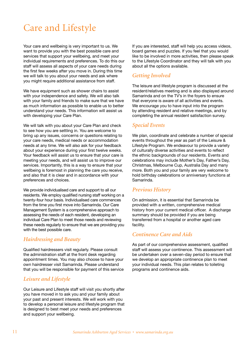## Care and Lifestyle

Your care and wellbeing is very important to us. We want to provide you with the best possible care and services that support your wellbeing, and meet your individual requirements and preferences. To do this our staff will assess all aspects of your care needs during the first few weeks after you move in. During this time we will talk to you about your needs and ask where you might require additional assistance from staff.

We have equipment such as shower chairs to assist with your independence and safety. We will also talk with your family and friends to make sure that we have as much information as possible to enable us to better understand your needs. This information will assist us with developing your Care Plan.

We will talk with you about your Care Plan and check to see how you are settling in. You are welcome to bring up any issues, concerns or questions relating to your care needs, medical needs or accommodation needs at any time. We will also ask for your feedback about your experience during your first twelve weeks. Your feedback will assist us to ensure that your care is meeting your needs, and will assist us to improve our services. Importantly, this is a way to ensure that your wellbeing is foremost in planning the care you receive, and also that it is clear and in accordance with your preferences and choices.

We provide individualised care and support to all our residents. We employ qualified nursing staff working on a twenty-four hour basis. Individualised care commences from the time you first move into Samarinda. Our Care Management System is a comprehensive approach to assessing the needs of each resident, developing an individual Care Plan to meet those needs and reviewing these needs regularly to ensure that we are providing you with the best possible care.

### *Hairdressing and Beauty*

Qualified hairdressers visit regularly. Please consult the administration staff at the front desk regarding appointment times. You may also choose to have your own hairdresser visit Samarinda. Please understand that you will be responsible for payment of this service

### *Leisure and Lifestyle*

Our Leisure and Lifestyle staff will visit you shortly after you have moved in to ask you and your family about your past and present interests. We will work with you to develop a personal leisure and lifestyle program that is designed to best meet your needs and preferences and support your wellbeing.

If you are interested, staff will help you access videos, board games and puzzles. If you feel that you would like to be involved in more activities, then please speak to the Lifestyle Coordinator and they will talk with you about all the options available.

## *Getting Involved*

The leisure and lifestyle program is discussed at the resident/relatives meeting and is also displayed around Samarinda and on the TV's in the foyers to ensure that everyone is aware of all activities and events. We encourage you to have input into the program by attending resident and relative meetings, and by completing the annual resident satisfaction survey.

### *Special Events*

We plan, coordinate and celebrate a number of special events throughout the year as part of the Leisure & Lifestyle Program. We endeavour to provide a variety of culturally diverse activities and events to reflect the ethnic backgrounds of our residents. Events and celebrations may include Mother's Day, Father's Day, Christmas, Melbourne Cup, Australia Day and many more. Both you and your family are very welcome to hold birthday celebrations or anniversary functions at Samarinda.

### *Previous History*

On admission, it is essential that Samarinda be provided with a written, comprehensive medical history from your current medical officer. A discharge summary should be provided if you are being transferred from a hospital or another aged care facility.

### *Continence Care and Aids*

As part of our comprehensive assessment, qualified staff will assess your continence. This assessment will be undertaken over a seven-day period to ensure that we develop an appropriate continence plan to meet your individual needs. This plan relates to toileting programs and continence aids.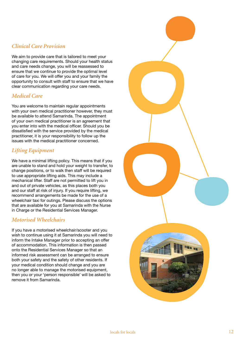## *Clinical Care Provision*

We aim to provide care that is tailored to meet your changing care requirements. Should your health status and care needs change, you will be reassessed to ensure that we continue to provide the optimal level of care for you. We will offer you and your family the opportunity to consult with staff to ensure that we have clear communication regarding your care needs.

### *Medical Care*

You are welcome to maintain regular appointments with your own medical practitioner however, they must be available to attend Samarinda. The appointment of your own medical practitioner is an agreement that you enter into with the medical officer. Should you be dissatisfied with the service provided by the medical practitioner, it is your responsibility to follow up the issues with the medical practitioner concerned.

## *Lifting Equipment*

We have a minimal lifting policy. This means that if you are unable to stand and hold your weight to transfer, to change positions, or to walk then staff will be required to use appropriate lifting aids. This may include a mechanical lifter. Staff are not permitted to lift you in and out of private vehicles, as this places both you and our staff at risk of injury. If you require lifting, we recommend arrangements be made for the use of a wheelchair taxi for outings. Please discuss the options that are available for you at Samarinda with the Nurse in Charge or the Residential Services Manager.

### *Motorised Wheelchairs*

If you have a motorised wheelchair/scooter and you wish to continue using it at Samarinda you will need to inform the Intake Manager prior to accepting an offer of accommodation. This information is then passed onto the Residential Services Manager so that an informed risk assessment can be arranged to ensure both your safety and the safety of other residents. If your medical condition should change and you are no longer able to manage the motorised equipment, then you or your 'person responsible' will be asked to remove it from Samarinda.

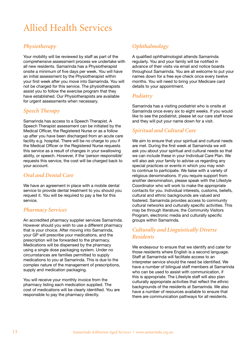# Allied Health Services

### *Physiotherapy*

Your mobility will be reviewed by staff as part of the comprehensive assessment process we undertake with all new residents. Samarinda has a Physiotherapist onsite a minimum of five days per week. You will have an initial assessment by the Physiotherapist within your first week after you move into Samarinda. You will not be charged for this service. The physiotherapists assist you to follow the exercise program that they have established. Our Physiotherapists are available for urgent assessments when necessary.

### *Speech Therapy*

Samarinda has access to a Speech Therapist. A Speech Therapist assessment can be initiated by the Medical Officer, the Registered Nurse or as a follow up after you have been discharged from an acute care facility e.g. hospital. There will be no charge to you if the Medical Officer or the Registered Nurse requests this service as a result of changes in your swallowing ability, or speech. However, if the 'person responsible' requests this service, the cost will be charged back to your account.

### *Oral and Dental Care*

We have an agreement in place with a mobile dental service to provide dental treatment to you should you request it. You will be required to pay a fee for this service.

### *Pharmacy Services*

An accredited pharmacy supplier services Samarinda. However should you wish to use a different pharmacy that is your choice. After moving into Samarinda, your GP will prescribe your medications, and the prescription will be forwarded to the pharmacy. Medications will be dispensed by the pharmacy using a single dose packaging system. Under no circumstances are families permitted to supply medications to you at Samarinda. This is due to the complex nature of the management of prescriptions, supply and medication packaging.

You will receive your monthly invoice from the pharmacy listing each medication supplied. The cost of medications will be clearly identified. You are responsible to pay the pharmacy directly.

## *Ophthalmology*

A qualified ophthalmologist attends Samarinda regularly. You and your family will be notified in advance of their visits via email and notice boards throughout Samarinda. You are all welcome to put your names down for a free eye check once every twelve months. You will need to bring your Medicare card details to your appointment.

### *Podiatry*

Samarinda has a visiting podiatrist who is onsite at Samarinda once every six to eight weeks. If you would like to see the podiatrist, please let our care staff know and they will put your name down for a visit.

## *Spiritual and Cultural Care*

We aim to ensure that your spiritual and cultural needs are met. During the first week at Samarinda we will ask you about your spiritual and cultural needs so that we can include these in your Individual Care Plan. We will also ask your family to advise us regarding any special practices or events in which you may wish to continue to participate. We liaise with a variety of religious denominations. If you require support from another denomination, please speak with the Lifestyle Coordinator who will work to make the appropriate contacts for you. Individual interests, customs, beliefs, cultural and ethnic backgrounds are valued and fostered. Samarinda provides access to community cultural networks and culturally specific activities. This may be through literature, the Community Visitors Program, electronic media and culturally specific groups within Samarinda.

### *Culturally and Linguistically Diverse Residents*

We endeavour to ensure that we identify and cater for those residents where English is a second language. Staff at Samarinda will facilitate access to an interpreter service should the need be identified. We have a number of bilingual staff members at Samarinda who can be used to assist with communication, if this is appropriate. The Lifestyle staff will also plan culturally appropriate activities that reflect the ethnic backgrounds of the residents at Samarinda. We also have a number of resources available to ensure that there are communication pathways for all residents.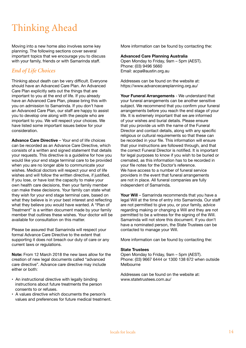# Thinking Ahead

Moving into a new home also involves some key planning. The following sections cover several important topics that we encourage you to discuss with your family, friends or with Samarinda staff.

## *End of Life Choices*

Thinking about death can be very difficult. Everyone should have an Advanced Care Plan. An Advanced Care Plan explicitly sets out the things that are important to you at the end of life. If you already have an Advanced Care Plan, please bring this with you on admission to Samarinda. If you don't have an Advanced Care Plan, our staff are happy to assist you to develop one along with the people who are important to you. We will respect your choices. We have listed some important issues below for your consideration.

**Advance Care Directive** – Your end of life choices can be recorded as an Advance Care Directive, which consists of a written and signed statement that details your requests. This directive is a guideline for how you would like your end stage terminal care to be provided when you are no longer able to communicate your wishes. Medical doctors will respect your end of life wishes and will follow the written directive, if justified. If you lose, or have lost the capacity to make your own health care decisions, then your family member can make these decisions. Your family can state what they wish for your end stage terminal care, based on what they believe is in your best interest and reflecting what they believe you would have wanted. A "Plan of Treatment" is a written document made by your family member that outlines these wishes. Your doctor will be available for consultation on this matter.

Please be assured that Samarinda will respect your formal Advance Care Directive to the extent that supporting it does not breach our duty of care or any current laws or regulations.

**Note:** From 12 March 2018 the new laws allow for the creation of new legal documents called "advanced care directive". Advance care directive may include either or both:

- An instructional directive with legally binding instructions about future treatments the person consents to or refuses.
- A values directive which documents the person's values and preferences for future medical treatment.

More information can be found by contacting the:

#### **Advanced Care Planning Australia**

Open Monday to Friday, 9am – 5pm (AEST). Phone: (03) 9496 5660 Email: acpa@austin.org.au

Addresses can be found on the website at: https://www.advancecareplanning.org.au/

**Your Funeral Arrangements** - We understand that your funeral arrangements can be another sensitive subject. We recommend that you confirm your funeral arrangements before you reach the end stage of your life. It is extremely important that we are informed of your wishes and burial details. Please ensure that you provide us with the name of the Funeral Director and contact details, along with any specific religious or cultural requirements so that these can be recorded in your file. This information will ensure that your instructions are followed through, and that the correct Funeral Director is notified. It is important for legal purposes to know if you wish to be buried or cremated, as this information has to be recorded in your file notes for the Doctor's reference. We have access to a number of funeral service providers in the event that funeral arrangements are not in place. All funeral companies are fully independent of Samarinda.

**Your Will** – Samarinda recommends that you have a legal Will at the time of entry into Samarinda. Our staff are not permitted to give you, or your family, advice regarding making or changing a Will and they are not permitted to be a witness for the signing of the Will. Samarinda will not store this document. If you don't have a nominated person, the State Trustees can be contacted to manage your Will.

More information can be found by contacting the:

#### **State Trustees**

Open Monday to Friday, 9am – 5pm (AEST). Phone: (03) 9667 6444 or 1300 138 672 when outside Melbourne

Addresses can be found on the website at: www.statetrustees.com.au/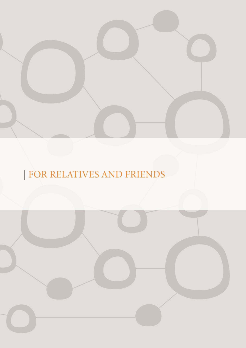# | FOR RELATIVES AND FRIENDS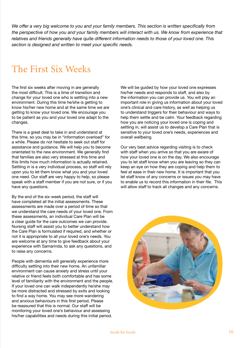*We offer a very big welcome to you and your family members. This section is written specifically from the perspective of how you and your family members will interact with us. We know from experience that relatives and friends generally have quite different information needs to those of your loved one. This section is designed and written to meet your specific needs.*

## The First Six Weeks

The first six weeks after moving in are generally the most difficult. This is a time of transition and change for your loved one who is settling into a new environment. During this time he/she is getting to know his/her new home and at the same time we are getting to know your loved one. We encourage you to be patient as you and your loved one adapt to the changes.

There is a great deal to take in and understand at this time, so you may be in "information overload" for a while. Please do not hesitate to seek out staff for assistance and guidance. We will help you to become orientated to the new environment. We generally find that families are also very stressed at this time and this limits how much information is actually retained. Settling in is a very individual process, so staff will rely upon you to let them know what you and your loved one need. Our staff are very happy to help, so please speak with a staff member if you are not sure, or if you have any questions.

By the end of the six-week period, the staff will have completed all the initial assessments. These assessments are made over a period of time so that we understand the care needs of your loved one. From these assessments, an individual Care Plan will be a clear guide for the care outcomes we can provide. Nursing staff will assist you to better understand how the Care Plan is formulated if required, and whether or not it is appropriate to all your loved one's needs. You are welcome at any time to give feedback about your experience with Samarinda, to ask any questions, and to raise any concerns.

People with dementia will generally experience more difficulty settling into their new home. An unfamiliar environment can cause anxiety and stress until your relative or friend feels both comfortable and has some level of familiarity with the environment and the people. If your loved one can walk independently he/she may be more distracted and stressed by exits and looking to find a way home. You may see more wandering and anxious behaviours in this first period. Please be reassured that this is normal. Our staff will be monitoring your loved one's behaviour and assessing his/her capabilities and needs during this initial period.

We will be guided by how your loved one expresses his/her needs and responds to staff, and also by the information you can provide us. You will play an important role in giving us information about your loved one's clinical and care history, as well as helping us to understand triggers for their behaviour and ways to help them settle and be calm. Your feedback regarding how you are noticing your loved one is coping and settling in, will assist us to develop a Care Plan that is sensitive to your loved one's needs, experiences and overall wellbeing.

Our very best advice regarding visiting is to check with staff when you arrive so that you are aware of how your loved one is on the day. We also encourage you to let staff know when you are leaving so they can keep an eye on how they are coping and help them to feel at ease in their new home. It is important that you let staff know of any concerns or issues you may have to enable us to record this information in their file. This will allow staff to track all changes and any concerns.

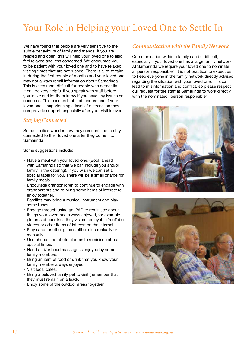# Your Role in Helping your Loved One to Settle In

We have found that people are very sensitive to the subtle behaviours of family and friends. If you are relaxed and open, this will help your loved one to also feel relaxed and less concerned. We encourage you to be patient with your loved one and to have relaxed visiting times that are not rushed. There is a lot to take in during the first couple of months and your loved one may not always recall information about Samarinda. This is even more difficult for people with dementia. It can be very helpful if you speak with staff before you leave and let them know if you have any issues or concerns. This ensures that staff understand if your loved one is experiencing a level of distress, so they can provide support, especially after your visit is over.

### *Staying Connected*

Some families wonder how they can continue to stay connected to their loved one after they come into Samarinda.

Some suggestions include;

- Have a meal with your loved one. (Book ahead with Samarinda so that we can include you and/or family in the catering). If you wish we can set a special table for you. There will be a small charge for family meals.
- Encourage grandchildren to continue to engage with grandparents and to bring some items of interest to enjoy together.
- Families may bring a musical instrument and play some tunes.
- Engage through using an IPAD to reminisce about things your loved one always enjoyed, for example pictures of countries they visited, enjoyable YouTube Videos or other items of interest on the internet.
- Play cards or other games either electronically or manually.
- Use photos and photo albums to reminisce about special times.
- Hand and/or head massage is enjoyed by some family members.
- Bring an item of food or drink that you know your family member always enjoyed.
- Visit local cafes.
- Bring a beloved family pet to visit (remember that they must remain on a lead).
- Enjoy some of the outdoor areas together.

### *Communication with the Family Network*

Communication within a family can be difficult, especially if your loved one has a large family network. At Samarinda we require your loved one to nominate a "person responsible". It is not practical to expect us to keep everyone in the family network directly advised regarding the situation with your loved one. This can lead to misinformation and conflict, so please respect our request for the staff at Samarinda to work directly with the nominated "person responsible".



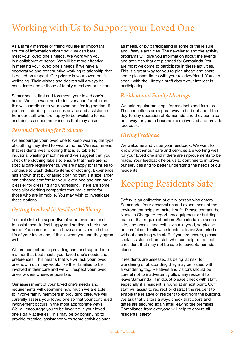# Working with Us to Support your Loved One

As a family member or friend you are an important source of information about how we can best meet your loved one's needs. We work with you in a collaborative sense. We will be more effective in meeting your loved one's needs if we have a cooperative and constructive working relationship that is based on respect. Our priority is your loved one's wellbeing. Their wishes and desires will always be considered above those of family members or visitors.

Samarinda is, first and foremost, your loved one's home. We also want you to feel very comfortable as this will contribute to your loved one feeling settled. If you are in doubt, please seek advice and assistance from our staff who are happy to be available to hear and discuss concerns or issues that may arise.

## *Personal Clothing for Residents*

We encourage your loved one to keep wearing the type of clothing they liked to wear at home. We recommend that residents wear clothing that is suitable for industrial washing machines and we suggest that you check the clothing labels to ensure that there are no special care requirements. We are happy for families to continue to wash delicate items of clothing. Experience has shown that purchasing clothing that is a size larger can enhance comfort for your loved one and can make it easier for dressing and undressing. There are some specialist clothing companies that make attire for those who are immobile. You may wish to investigate these options.

## *Getting Involved in Resident Wellbeing*

Your role is to be supportive of your loved one and to assist them to feel happy and settled in their new home. You can continue to have an active role in the life of your loved one, if this is what you and they agree with.

We are committed to providing care and support in a manner that best meets your loved one's needs and preferences. This means that we will ask your loved one how much they would like their families to be involved in their care and we will respect your loved one's wishes wherever possible.

Our assessment of your loved one's needs and requirements will determine how much we are able to involve family members in providing care. We will carefully assess your loved one so that your continued involvement occurs in the most appropriate ways. We will encourage you to be involved in your loved one's daily activities. This may be by continuing to provide practical assistance with some activities such

as meals, or by participating in some of the leisure and lifestyle activities. The newsletter and the activity programs will give you information about the events and activities that are planned for Samarinda. You are most welcome to participate in these activities. This is a great way for you to plan ahead and share some pleasant times with your relative/friend. You can speak with the Lifestyle staff about your interest in participating.

### *Resident and Family Meetings*

We hold regular meetings for residents and families. These meetings are a great way to find out about the day-to-day operation of Samarinda and they can also be a way for you to become more involved and provide feedback.

### *Giving Feedback*

We welcome and value your feedback. We want to know whether our care and services are working well for your loved one and if there are improvements to be made. Your feedback helps us to continue to improve our services and to better understand the needs of our residents.

## Keeping Residents Safe

Safety is an obligation of every person who enters Samarinda. Your observation and experiences of the environment helps to make it safe. Please contact the Nurse in Charge to report any equipment or building matters that require attention. Samarinda is a secure site, and access and exit is via a keypad, so please be careful not to allow residents to leave Samarinda without checking with staff. If you are unsure, please seek assistance from staff who can help to redirect a resident that may not be safe to leave Samarinda alone.

If residents are assessed as being 'at risk' for wandering or absconding they may be issued with a wandering tag. Relatives and visitors should be careful not to inadvertently allow any resident to leave Samarinda. If in doubt please check with staff, especially if a resident is found at an exit point. Our staff will assist to redirect or distract the resident to enable the relative or resident to exit from the building. We ask that visitors always check that doors and gates are secured again after leaving the premises. Compliance from everyone will help to ensure all residents' safety.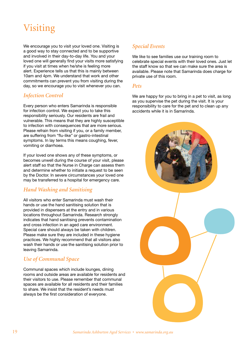# Visiting

We encourage you to visit your loved one. Visiting is a good way to stay connected and to be supportive and involved in their day-to-day life. You and your loved one will generally find your visits more satisfying if you visit at times when he/she is feeling more alert. Experience tells us that this is mainly between 10am and 4pm. We understand that work and other commitments can prevent you from visiting during the day, so we encourage you to visit whenever you can.

## *Infection Control*

Every person who enters Samarinda is responsible for infection control. We expect you to take this responsibility seriously. Our residents are frail and vulnerable. This means that they are highly susceptible to infection with consequences that are more serious. Please refrain from visiting if you, or a family member, are suffering from "flu-like" or gastro-intestinal symptoms. In lay terms this means coughing, fever, vomiting or diarrhoea.

If your loved one shows any of these symptoms, or becomes unwell during the course of your visit, please alert staff so that the Nurse in Charge can assess them and determine whether to initiate a request to be seen by the Doctor. In severe circumstances your loved one may be transferred to a hospital for emergency care.

## *Hand Washing and Sanitising*

All visitors who enter Samarinda must wash their hands or use the hand sanitising solution that is provided in dispensers at the entry and in various locations throughout Samarinda. Research strongly indicates that hand sanitising prevents contamination and cross infection in an aged care environment. Special care should always be taken with children. Please make sure they are included in these hygiene practices. We highly recommend that all visitors also wash their hands or use the sanitising solution prior to leaving Samarinda.

## *Use of Communal Space*

Communal spaces which include lounges, dining rooms and outside areas are available for residents and their visitors to use. Please remember that communal spaces are available for all residents and their families to share. We insist that the resident's needs must always be the first consideration of everyone.

## *Special Events*

We like to see families use our training room to celebrate special events with their loved ones. Just let the staff know so that we can make sure the area is available. Please note that Samarinda does charge for private use of this room.

### *Pets*

We are happy for you to bring in a pet to visit, as long as you supervise the pet during the visit. It is your responsibility to care for the pet and to clean up any accidents while it is in Samarinda.

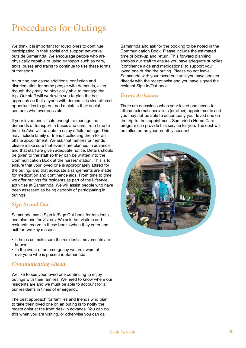# Procedures for Outings

We think it is important for loved ones to continue participating in their social and support networks outside Samarinda. We encourage people who are physically capable of using transport such as cars, taxis, buses and trains to continue to use these forms of transport.

An outing can cause additional confusion and disorientation for some people with dementia, even though they may be physically able to manage the trip. Our staff will work with you to plan the best approach so that anyone with dementia is also offered opportunities to go out and maintain their social contacts wherever possible.

If your loved one is safe enough to manage the demands of transport in buses and cars, from time to time, he/she will be able to enjoy offsite outings. This may include family or friends collecting them for an offsite appointment. We ask that families or friends please make sure that events are planned in advance and that staff are given adequate notice. Details should be given to the staff so they can be written into the Communication Book at the nurses' station. This is to ensure that your loved one is appropriately attired for the outing, and that adequate arrangements are made for medication and continence aids. From time to time we offer outings for residents as part of the Lifestyle activities at Samarinda. We will assist people who have been assessed as being capable of participating in outings.

### *Sign In and Out*

Samarinda has a Sign In/Sign Out book for residents, and also one for visitors. We ask that visitors and residents record in these books when they enter and exit for two key reasons:

- It helps us make sure the resident's movements are known
- In the event of an emergency we are aware of everyone who is present in Samarinda

### *Communicating Ahead*

We like to see your loved one continuing to enjoy outings with their families. We need to know where our residents are and we must be able to account for all our residents in times of emergency.

The best approach for families and friends who plan to take their loved one on an outing is to notify the receptionist at the front desk in advance. You can do this when you are visiting, or otherwise you can call

Samarinda and ask for the booking to be noted in the Communication Book. Please include the estimated time of pick-up and return. This forward planning enables our staff to ensure you have adequate supplies (continence aids and medications) to support your loved one during the outing. Please do not leave Samarinda with your loved one until you have spoken directly with the receptionist and you have signed the resident Sign In/Out book.

### *Escort Assistance*

There are occasions when your loved one needs to attend external specialists (or other) appointments and you may not be able to accompany your loved one on the trip to the appointment. Samarinda Home Care program can provide this service for you. The cost will be reflected on your monthly account.

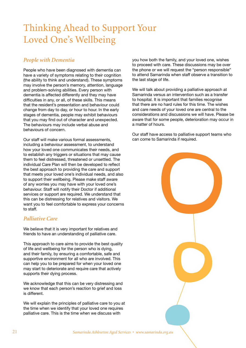# Thinking Ahead to Support Your Loved One's Wellbeing

## *People with Dementia*

People who have been diagnosed with dementia can have a variety of symptoms relating to their cognition (the ability to think and understand). These symptoms may involve the person's memory, attention, language and problem-solving abilities. Every person with dementia is affected differently and they may have difficulties in any, or all, of these skills. This means that the resident's presentation and behaviour could change from day to day, or hour to hour. In the early stages of dementia, people may exhibit behaviours that you may find out of character and unexpected. The behaviours may include verbal abuse and behaviours of concern.

Our staff will make various formal assessments, including a behaviour assessment, to understand how your loved one communicates their needs, and to establish any triggers or situations that may cause them to feel distressed, threatened or unsettled. The individual Care Plan will then be developed to reflect the best approach to providing the care and support that meets your loved one's individual needs, and also to support their wellbeing. Please make staff aware of any worries you may have with your loved one's behaviour. Staff will notify their Doctor if additional services or support are required. We understand that this can be distressing for relatives and visitors. We want you to feel comfortable to express your concerns to staff.

### *Palliative Care*

We believe that it is very important for relatives and friends to have an understanding of palliative care.

This approach to care aims to provide the best quality of life and wellbeing for the person who is dying, and their family, by ensuring a comfortable, safe and supportive environment for all who are involved. This can help you to be prepared for when your loved one may start to deteriorate and require care that actively supports their dying process.

We acknowledge that this can be very distressing and we know that each person's reaction to grief and loss is different.

We will explain the principles of palliative care to you at the time when we identify that your loved one requires palliative care. This is the time when we discuss with

you how both the family, and your loved one, wishes to proceed with care. These discussions may be over the phone or we will request the "person responsible" to attend Samarinda when staff observe a transition to the last stage of life.

We will talk about providing a palliative approach at Samarinda versus an intervention such as a transfer to hospital. It is important that families recognise that there are no hard rules for this time. The wishes and care needs of your loved one are central to the considerations and discussions we will have. Please be aware that for some people, deterioration may occur in a matter of hours.

Our staff have access to palliative support teams who can come to Samarinda if required.

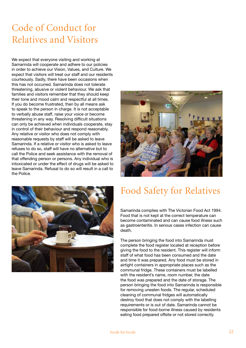# Code of Conduct for Relatives and Visitors

We expect that everyone visiting and working at Samarinda will cooperate and adhere to our policies in order to achieve our Vision, Values, and Culture. We expect that visitors will treat our staff and our residents courteously. Sadly, there have been occasions when this has not occurred. Samarinda does not tolerate threatening, abusive or violent behaviour. We ask that families and visitors remember that they should keep their tone and mood calm and respectful at all times. If you do become frustrated, then by all means ask to speak to the person in charge. It is not acceptable to verbally abuse staff, raise your voice or become threatening in any way. Resolving difficult situations can only be achieved when individuals cooperate, stay in control of their behaviour and respond reasonably. Any relative or visitor who does not comply with reasonable requests by staff will be asked to leave Samarinda. If a relative or visitor who is asked to leave refuses to do so, staff will have no alternative but to call the Police and seek assistance with the removal of that offending person or persons. Any individual who is intoxicated or under the effect of drugs will be asked to leave Samarinda. Refusal to do so will result in a call to the Police.





# Food Safety for Relatives

Samarinda complies with The Victorian Food Act 1994. Food that is not kept at the correct temperature can become contaminated and can cause food illness such as gastroenteritis. In serious cases infection can cause death.

The person bringing the food into Samarinda must complete the food register located at reception before giving the food to the resident. This register will inform staff of what food has been consumed and the date and time it was prepared. Any food must be stored in airtight containers in appropriate places such as the communal fridge. These containers must be labelled with the resident's name, room number, the date the food was prepared and the date of storage. The person bringing the food into Samarinda is responsible for removing uneaten foods. The regular, scheduled cleaning of communal fridges will automatically destroy food that does not comply with the labelling requirements or is out of date. Samarinda cannot be responsible for food-borne illness caused by residents eating food prepared offsite or not stored correctly.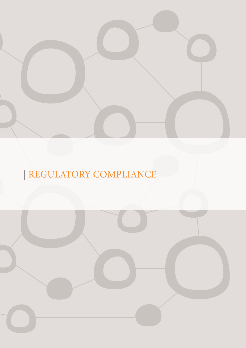# | REGULATORY COMPLIANCE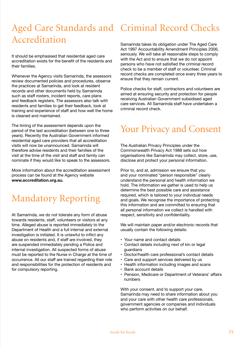# Aged Care Standards and Criminal Record Checks Accreditation

It should be emphasised that residential aged care accreditation exists for the benefit of the residents and their families.

Whenever the Agency visits Samarinda, the assessors review documented policies and procedures, observe the practices at Samarinda, and look at resident records and other documents held by Samarinda such as staff rosters, incident reports, care plans and feedback registers. The assessors also talk with residents and families to get their feedback, look at training and experience of staff and how well the home is cleaned and maintained.

The timing of the assessment depends upon the period of the last accreditation (between one to three years). Recently the Australian Government informed residential aged care providers that all accreditation visits will now be unannounced. Samarinda will therefore advise residents and their families of the visit at the time of the visit and staff and family can nominate if they would like to speak to the assessors.

More information about the accreditation assessment process can be found at the Agency website **www.accreditation.org.au.** 

# Mandatory Reporting

At Samarinda, we do not tolerate any form of abuse towards residents, staff, volunteers or visitors at any time. Alleged abuse is reported immediately to the Department of Health and a full internal and external investigation is initiated. It is unlawful to inflict any abuse on residents and, if staff are involved, they are suspended immediately pending a Police and internal investigation. All suspected forms of abuse must be reported to the Nurse in Charge at the time of occurrence. All our staff are trained regarding their role and responsibilities for the protection of residents and for compulsory reporting.

Samarinda takes its obligation under The Aged Care Act 1997 Accountability Amendment Principles 2006, seriously. We will take all reasonable steps to comply with the Act and to ensure that we do not appoint persons who have not satisfied the criminal record check to be a member of staff or volunteer. Criminal record checks are completed once every three years to ensure that they remain current.

Police checks for staff, contractors and volunteers are aimed at ensuring security and protection for people receiving Australian Government subsidised aged care services. All Samarinda staff have undertaken a criminal record check.

## Your Privacy and Consent

The Australian Privacy Principles under the Commonwealth Privacy Act 1988 sets out how organisations like Samarinda may collect, store, use, disclose and protect your personal information.

Prior to, and at, admission we ensure that you and your nominated "person responsible" clearly understand the personal and health information we hold. The information we gather is used to help us determine the best possible care and assistance required, which is tailored to your individual needs and goals. We recognise the importance of protecting this information and are committed to ensuring that all personal information we collect is handled with respect, sensitivity and confidentiality.

We will maintain paper and/or electronic records that usually contain the following details:

- Your name and contact details
- Contact details including next of kin or legal guardians
- Doctor/health care professional's contact details
- Care and support services delivered by us
- Health information including images and scans
- Bank account details
- Pension, Medicare or Department of Veterans' affairs numbers

With your consent, and to support your care, Samarinda may need to share information about you and your care with other health care professionals, government agencies or companies and individuals who perform activities on our behalf.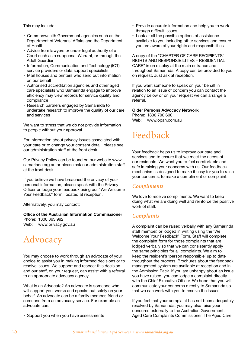This may include:

- Commonwealth Government agencies such as the Department of Veterans' Affairs and the Department of Health
- Advice from lawyers or under legal authority of a Court such as a subpoena, Warrant, or through the Adult Guardian
- Information, Communication and Technology (ICT) service providers or data support specialists
- Mail houses and printers who send out information on our behalf
- Authorised accreditation agencies and other aged care specialists who Samarinda engage to improve efficiency may view records for service quality and compliance
- Research partners engaged by Samarinda to undertake research to improve the quality of our care and services

We want to stress that we do not provide information to people without your approval.

For information about privacy issues associated with your care or to change your consent detail, please see our administration staff at the front desk.

Our Privacy Policy can be found on our website www. samarinda.org.au or please ask our administration staff at the front desk.

If you believe we have breached the privacy of your personal information, please speak with the Privacy Officer or lodge your feedback using our "We Welcome Your Feedback" form, located at reception.

Alternatively, you may contact:

#### **Office of the Australian Information Commissioner**

Phone: 1300 363 992 Web: www.privacy.gov.au

# Advocacy

You may choose to work through an advocate of your choice to assist you in making informed decisions or to resolve issues. We support and respect this decision and our staff, on your request, can assist with a referral to an appropriate advocacy agency.

What is an Advocate? An advocate is someone who will support you, works and speaks out solely on your behalf. An advocate can be a family member, friend or someone from an advocacy service. For example an advocate can:

• Support you when you have assessments

- Provide accurate information and help you to work through difficult issues
- Look at all the possible options of assistance available to you including other services and ensure you are aware of your rights and responsibilities.

A copy of the "CHARTER OF CARE RECIPIENTS' RIGHTS AND RESPONSIBILITIES – RESIDENTIAL CARE" is on display at the main entrance and throughout Samarinda. A copy can be provided to you on request. Just ask at reception.

If you want someone to speak on your behalf in relation to an issue of concern you can contact the agency below or on your request we can arrange a referral.

#### **Older Persons Advocacy Network**

Phone: 1800 700 600 Web: www.opan.com.au

## Feedback

Your feedback helps us to improve our care and services and to ensure that we meet the needs of our residents. We want you to feel comfortable and safe in raising your concerns with us. Our feedback mechanism is designed to make it easy for you to raise your concerns, to make a compliment or complaint.

#### *Compliments*

We love to receive compliments. We want to keep doing what we are doing well and reinforce the positive work of staff.

#### *Complaints*

A complaint can be raised verbally with any Samarinda staff member, or lodged in writing using the 'We Welcome Your Feedback' Form. Staff will complete the complaint form for those complaints that are lodged verbally so that we can consistently apply the same principles for all complaints. We aim to keep the resident's 'person responsible' up to date throughout the process. Brochures about the feedback management system are available at reception and in the Admission Pack. If you are unhappy about an issue you have raised, you can lodge a complaint directly with the Chief Executive Officer. We hope that you will communicate your concerns directly to Samarinda so that we can work with you to resolve the issues.

If you feel that your complaint has not been adequately resolved by Samarinda, you may also raise your concerns externally to the Australian Government, Aged Care Complaints Commissioner. The Aged Care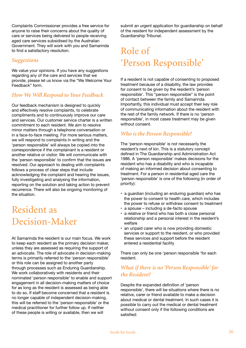Complaints Commissioner provides a free service for anyone to raise their concerns about the quality of care or services being delivered to people receiving aged care services subsidised by the Australian Government. They will work with you and Samarinda to find a satisfactory resolution.

### *Suggestions*

We value your opinions. If you have any suggestions regarding any of the care and services that we provide, please let us know via the "We Welcome Your Feedback" form.

### *How We Will Respond to Your Feedback*

Our feedback mechanism is designed to quickly and effectively resolve complaints, to celebrate compliments and to continuously improve our care and services. Our customer service charter is a written commitment to each resident. We aim to resolve minor matters through a telephone conversation or in a face-to-face meeting. For more serious matters, we will respond to complaints in writing and the 'person responsible' will always be copied into the correspondence if the complainant is a resident or another relative or visitor. We will communicate with the 'person responsible' to confirm that the issues are resolved. Our approach to dealing with complaints follows a process of clear steps that include acknowledging the complaint and hearing the issues, fully investigating and analysing the information, reporting on the solution and taking action to prevent recurrence. There will also be ongoing monitoring of the situation.

## Resident as Decision-Maker

At Samarinda the resident is our main focus. We work to keep each resident as the primary decision maker, unless they are assessed as requiring the support of an advocate. The role of advocate in decision-making terms is primarily referred to the 'person responsible' or this role can be assigned to another party through processes such as Enduring Guardianship. We work collaboratively with residents and their nominated 'person responsible' to enable and support engagement in all decision-making matters of choice for as long as the resident is assessed as being able to do so. If staff become concerned that a resident is no longer capable of independent decision-making, this will be referred to the 'person responsible' or the medical practitioner for further follow up. If neither of these people is willing or available, then we will

submit an urgent application for guardianship on behalf of the resident for independent assessment by the Guardianship Tribunal.

# Role of 'Person Responsible'

If a resident is not capable of consenting to proposed treatment because of a disability, the law provides for consent to be given by the resident's 'person responsible'. This "person responsible" is the point of contact between the family and Samarinda. Importantly, this individual must accept their key role of communicating information about the resident with the rest of the family network. If there is no 'person responsible', in most cases treatment may be given without consent.

### *Who is the Person Responsible?*

The 'person responsible' is not necessarily the resident's next of kin. This is a statutory concept defined in The Guardianship and Administration Act 1986. A 'person responsible' makes decisions for the resident who has a disability and who is incapable of making an informed decision about consenting to treatment. For a person in residential aged care the 'person responsible' is one of the following (in order of priority):

- a guardian (including an enduring guardian) who has the power to consent to health care, which includes the power to refuse or withdraw consent to treatment
- a spouse including a de-facto spouse
- a relative or friend who has both a close personal relationship and a personal interest in the resident's welfare
- an unpaid carer who is now providing domestic services or support to the resident, or who provided these services and support before the resident entered a residential facility

There can only be one 'person responsible 'for each resident.

## *What if there is no 'Person Responsible' for the Resident?*

Despite the expanded definition of 'person responsible', there will be situations where there is no relative, carer or friend available to make a decision about medical or dental treatment. In such cases it is possible to carry out the medical or dental treatment without consent only if the following conditions are satisfied: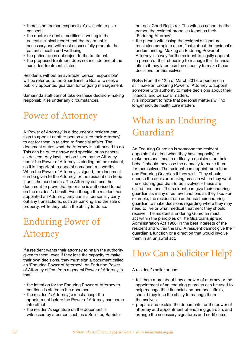- there is no 'person responsible' available to give consent
- the doctor or dentist certifies in writing in the patient's clinical record that the treatment is necessary and will most successfully promote the patient's health and wellbeing
- the patient does not object to the treatment,
- the proposed treatment does not include one of the excluded treatments listed

Residents without an available 'person responsible' will be referred to the Guardianship Board to seek a publicly appointed guardian for ongoing management.

Samarinda staff cannot take on these decision-making responsibilities under any circumstances.

# Power of Attorney

A 'Power of Attorney' is a document a resident can sign to appoint another person (called their Attorney) to act for them in relation to financial affairs. The document states what the Attorney is authorised to do. This can be quite narrow and specific, or as general as desired. Any lawful action taken by the Attorney under the Power of Attorney is binding on the resident, so it is important to appoint someone trustworthy. When the Power of Attorney is signed, the document can be given to the Attorney, or the resident can keep it until the need arises. The Attorney can use the document to prove that he or she is authorised to act on the resident's behalf. Even though the resident has appointed an Attorney, they can still personally carry out any transactions, such as banking and the sale of property, while they retain the ability to do so.

# Enduring Power of Attorney

If a resident wants their attorney to retain the authority given to them, even if they lose the capacity to make their own decisions, they must sign a document called an 'Enduring Power of Attorney'. An Enduring Power of Attorney differs from a general Power of Attorney in that:

- the intention for the Enduring Power of Attorney to continue is stated in the document
- the resident's Attorney(s) must accept the appointment before the Power of Attorney can come into effect
- the resident's signature on the document is witnessed by a person such as a Solicitor, Barrister

 or Local Court Registrar. The witness cannot be the person the resident proposes to act as their 'Enduring Attorney',

• the person witnessing the resident's signature must also complete a certificate about the resident's understanding. Making an Enduring Power of Attorney is a way for the resident to legally appoint a person of their choosing to manage their financial affairs if they later lose the capacity to make these decisions for themselves

**Note:** From the 12th of March 2018, a person can still make an Enduring Power of Attorney to appoint someone with authority to make decisions about their financial and personal matters.

It is important to note that personal matters will no longer include health care matters

# What is an Enduring Guardian?

An Enduring Guardian is someone the resident appoints (at a time when they have capacity) to make personal, health or lifestyle decisions on their behalf, should they lose the capacity to make them for themselves. The resident can appoint more than one Enduring Guardian if they wish. They should choose the decision-making areas in which they want the enduring guardian to be involved – these are called functions. The resident can give their enduring guardian as many or as few functions as they like. For example, the resident can authorise their enduring guardian to make decisions regarding where they may need to live or what medical treatment they should receive. The resident's Enduring Guardian must act within the principles of The Guardianship and Administration Act 1986, in the best interests of the resident and within the law. A resident cannot give their guardian a function or a direction that would involve them in an unlawful act.

## How Can a Solicitor Help?

A resident's solicitor can:

- tell them more about how a power of attorney or the appointment of an enduring guardian can be used to help manage their financial and personal affairs, should they lose the ability to manage them themselves;
- prepare and explain the documents for the power of attorney and appointment of enduring guardian, and arrange the necessary signatures and certificates.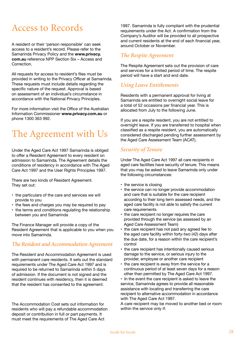# Access to Records

A resident or their 'person responsible' can seek access to a resident's record. Please refer to the Samarinda Privacy Policy and the **www.privacy. com.au** reference NPP Section Six – Access and Correction.

All requests for access to resident's files must be provided in writing to the Privacy Officer at Samarinda. These requests must include details regarding the specific nature of the request. Approval is based on assessment of an individual's circumstance in accordance with the National Privacy Principles.

For more information visit the Office of the Australian Information Commissioner **www.privacy.com.au** or phone 1300 363 992.

# The Agreement with Us

Under the Aged Care Act 1997 Samarinda is obliged to offer a Resident Agreement to every resident on admission to Samarinda. The Agreement details the conditions of residency in accordance with The Aged Care Act 1997 and the User Rights Principles 1997.

There are two kinds of Resident Agreement. They set out:

- the particulars of the care and services we will provide to you
- the fees and charges you may be required to pay
- the terms and conditions regulating the relationship between you and Samarinda

The Finance Manager will provide a copy of the Resident Agreement that is applicable to you when you move into Samarinda.

### *The Resident and Accommodation Agreement*

The Resident and Accommodation Agreement is used with permanent care residents. It sets out the standard requirements under The Aged Care Act 1997 and is required to be returned to Samarinda within 5 days of admission. If the document is not signed and the resident continues with residency, then it is deemed that the resident has consented to the agreement.

The Accommodation Cost sets out information for residents who will pay a refundable accommodation deposit or contribution in full or part payments. It must meet the requirements of The Aged Care Act

1997. Samarinda is fully compliant with the prudential requirements under the Act. A confirmation from the Company's Auditor will be provided to all prospective and current residents at the end of each financial year, around October or November.

### *The Respite Agreement*

The Respite Agreement sets out the provision of care and services for a limited period of time. The respite period will have a start and end date.

### *Using Leave Entitlements*

Residents with a permanent approval for living at Samarinda are entitled to overnight social leave for a total of 52 occasions per financial year. This is allocated from July to the following June.

If you are a respite resident, you are not entitled to overnight leave. If you are transferred to hospital when classified as a respite resident, you are automatically considered discharged pending further assessment by the Aged Care Assessment Team (ACAT).

### *Security of Tenure*

Under The Aged Care Act 1997 all care recipients in aged care facilities have security of tenure. This means that you may be asked to leave Samarinda only under the following circumstances:

- the service is closing
- the service can no longer provide accommodation and care that is suitable for the care recipient according to their long term assessed needs, and the aged care facility is not able to satisfy the current care requirements
- the care recipient no longer requires the care provided through the service (as assessed by an Aged Care Assessment Team)
- the care recipient has not paid any agreed fee to the aged care facility within forty-two (42) days after the due date, for a reason within the care recipient's control
- the care recipient has intentionally caused serious damage to the service, or serious injury to the provider, employee or another care recipient
- the care recipient is away from the service for a continuous period of at least seven days for a reason other than permitted by The Aged Care Act 1997.
- In the event the care recipient is asked to leave the service, Samarinda agrees to provide all reasonable assistance with locating and transferring the care recipient to alternative accommodation in accordance with The Aged Care Act 1997.

A care recipient may be moved to another bed or room within the service only if: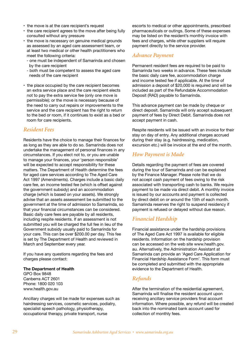- the move is at the care recipient's request
- the care recipient agrees to the move after being fully consulted without any pressure
- the move is necessary on genuine medical grounds as assessed by an aged care assessment team, or at least two medical or other health practitioners who meet the following criteria:
	- one must be independent of Samarinda and chosen by the care recipient
	- both must be competent to assess the aged care needs of the care recipient
- the place occupied by the care recipient becomes an extra service place and the care recipient elects not to pay the extra service fee (only one move is permissible); or the move is necessary because of the need to carry out repairs or improvements to the service and the care recipient has the right to return to the bed or room, if it continues to exist as a bed or room for care recipients.

### *Resident Fees*

Residents have the choice to manage their finances for as long as they are able to do so. Samarinda does not undertake the management of personal finances in any circumstances. If you elect not to, or you are unable to manage your finances, your 'person responsible' will be expected to accept responsibility for these matters. The Department of Health determine the fees for aged care services according to The Aged Care Act 1997 (Amendments). Charges include a basic daily care fee, an income tested fee (which is offset against the government subsidy) and an accommodation charge (which is based on your assets). We strongly advise that an assets assessment be submitted to the government at the time of admission to Samarinda, so that your financial circumstances can be considered. Basic daily care fees are payable by all residents, including respite residents. If an assessment is not submitted you will be charged the full fee in lieu of the Government subsidy usually paid to Samarinda for your care. This can be over \$200.00 per day. This fee is set by The Department of Health and reviewed in March and September every year.

If you have any questions regarding the fees and charges please contact:

#### **The Department of Health**

GPO Box 9848 Canberra ACT 2601 Phone: 1800 020 103 www.health.gov.au

Ancillary charges will be made for expenses such as hairdressing services, cosmetic services, podiatry, specialist speech pathology, physiotherapy, occupational therapy, private transport, nurse

escorts to medical or other appointments, prescribed pharmaceuticals or outings. Some of these expenses may be listed on the resident's monthly invoice with fees and charges, while other suppliers will require payment directly to the service provider.

### *Advance Payment*

Permanent resident fees are required to be paid to Samarinda two weeks in advance. These fees include the basic daily care fee, accommodation charge and income tested fee if applicable. At the time of admission a deposit of \$20,000 is required and will be included as part of the Refundable Accommodation Deposit (RAD) payable to Samarinda.

This advance payment can be made by cheque or direct deposit. Samarinda will only accept subsequent payment of fees by Direct Debit. Samarinda does not accept payment in cash.

Respite residents will be issued with an invoice for their stay on day of entry. Any additional charges accrued during their stay (e.g. hairdressing, medication, excursion etc.) will be invoice at the end of the month.

### *How Payment is Made*

Details regarding the payment of fees are covered during the tour of Samarinda and can be explained by the Finance Manager. Please note that we do not accept cash payment of fees owing to the risk associated with transporting cash to banks. We require payment to be made via direct debit. A monthly invoice is issued by our accounts and payment is collected by direct debit on or around the 15th of each month. Samarinda reserves the right to suspend residency if payment is refused or delayed without due reason.

### *Financial Hardship*

Financial assistance under the hardship provisions of The Aged Care Act 1997 is available for eligible residents. Information on the hardship provision can be accessed on the web site www.health.gov. au. Alternatively, the Administration Assistant at Samarinda can provide an 'Aged Care Application for Financial Hardship Assistance Form'. This form must be completed and submitted with the appropriate evidence to the Department of Health.

### *Refunds*

After the termination of the residential agreement, Samarinda will finalise the resident account upon receiving ancillary service providers final account information. Where possible, any refund will be created back into the nominated bank account used for collection of monthly fees.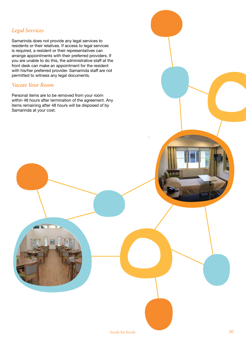## *Legal Services*

Samarinda does not provide any legal services to residents or their relatives. If access to legal services is required, a resident or their representatives can arrange appointments with their preferred providers. If you are unable to do this, the administrative staff at the front desk can make an appointment for the resident with his/her preferred provider. Samarinda staff are not permitted to witness any legal documents.

### *Vacate Your Room*

Personal items are to be removed from your room within 48 hours after termination of the agreement. Any items remaining after 48 hours will be disposed of by Samarinda at your cost.

: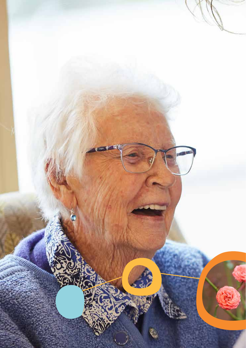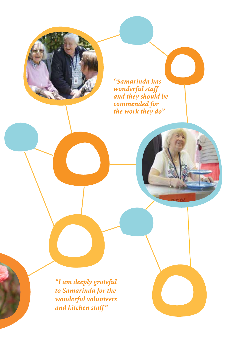"Samarinda has wonderful staff<br>and they should be<br>commended for<br>the work they do"

"I am deeply grateful to Samarinda for the wonderful volunteers and kitchen staff"